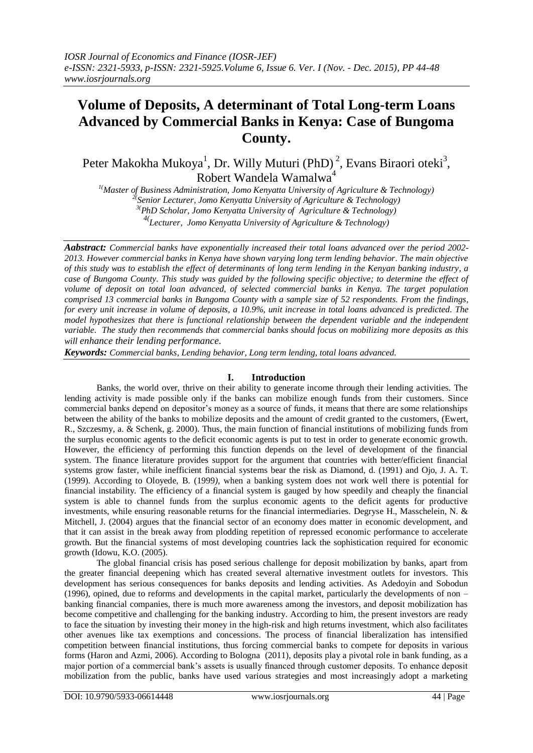# **Volume of Deposits, A determinant of Total Long-term Loans Advanced by Commercial Banks in Kenya: Case of Bungoma County.**

Peter Makokha Mukoya<sup>1</sup>, Dr. Willy Muturi (PhD)<sup>2</sup>, Evans Biraori oteki<sup>3</sup>, Robert Wandela Wamalwa<sup>4</sup>

*1(Master of Business Administration, Jomo Kenyatta University of Agriculture & Technology) 2( Senior Lecturer, Jomo Kenyatta University of Agriculture & Technology) 3(PhD Scholar, Jomo Kenyatta University of Agriculture & Technology) 4( Lecturer, Jomo Kenyatta University of Agriculture & Technology)*

*Aabstract: Commercial banks have exponentially increased their total loans advanced over the period 2002- 2013. However commercial banks in Kenya have shown varying long term lending behavior. The main objective of this study was to establish the effect of determinants of long term lending in the Kenyan banking industry, a case of Bungoma County. This study was guided by the following specific objective; to determine the effect of volume of deposit on total loan advanced, of selected commercial banks in Kenya. The target population comprised 13 commercial banks in Bungoma County with a sample size of 52 respondents. From the findings, for every unit increase in volume of deposits, a 10.9%, unit increase in total loans advanced is predicted. The model hypothesizes that there is functional relationship between the dependent variable and the independent variable. The study then recommends that commercial banks should focus on mobilizing more deposits as this will enhance their lending performance.*

*Keywords: Commercial banks, Lending behavior, Long term lending, total loans advanced.*

# **I. Introduction**

Banks, the world over, thrive on their ability to generate income through their lending activities. The lending activity is made possible only if the banks can mobilize enough funds from their customers. Since commercial banks depend on depositor"s money as a source of funds, it means that there are some relationships between the ability of the banks to mobilize deposits and the amount of credit granted to the customers, (Ewert, R., Szczesmy, a. & Schenk, g. 2000). Thus, the main function of financial institutions of mobilizing funds from the surplus economic agents to the deficit economic agents is put to test in order to generate economic growth. However, the efficiency of performing this function depends on the level of development of the financial system. The finance literature provides support for the argument that countries with better/efficient financial systems grow faster, while inefficient financial systems bear the risk as Diamond, d. (1991) and Ojo, J. A. T. (1999). According to Oloyede, B. (1999*),* when a banking system does not work well there is potential for financial instability. The efficiency of a financial system is gauged by how speedily and cheaply the financial system is able to channel funds from the surplus economic agents to the deficit agents for productive investments, while ensuring reasonable returns for the financial intermediaries. Degryse H., Masschelein, N. & Mitchell, J. (2004) argues that the financial sector of an economy does matter in economic development, and that it can assist in the break away from plodding repetition of repressed economic performance to accelerate growth. But the financial systems of most developing countries lack the sophistication required for economic growth (Idowu, K.O. (2005).

The global financial crisis has posed serious challenge for deposit mobilization by banks, apart from the greater financial deepening which has created several alternative investment outlets for investors. This development has serious consequences for banks deposits and lending activities. As Adedoyin and Sobodun (1996), opined, due to reforms and developments in the capital market, particularly the developments of non – banking financial companies, there is much more awareness among the investors, and deposit mobilization has become competitive and challenging for the banking industry. According to him, the present investors are ready to face the situation by investing their money in the high-risk and high returns investment, which also facilitates other avenues like tax exemptions and concessions. The process of financial liberalization has intensified competition between financial institutions, thus forcing commercial banks to compete for deposits in various forms (Haron and Azmi, 2006). According to Bologna (2011), deposits play a pivotal role in bank funding, as a major portion of a commercial bank"s assets is usually financed through customer deposits. To enhance deposit mobilization from the public, banks have used various strategies and most increasingly adopt a marketing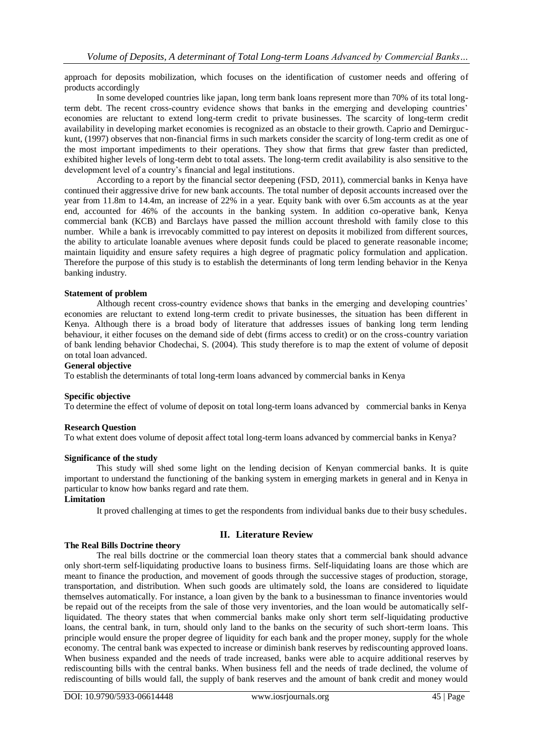approach for deposits mobilization, which focuses on the identification of customer needs and offering of products accordingly

In some developed countries like japan, long term bank loans represent more than 70% of its total longterm debt. The recent cross-country evidence shows that banks in the emerging and developing countries" economies are reluctant to extend long-term credit to private businesses. The scarcity of long-term credit availability in developing market economies is recognized as an obstacle to their growth. Caprio and Demirguckunt, (1997) observes that non-financial firms in such markets consider the scarcity of long-term credit as one of the most important impediments to their operations. They show that firms that grew faster than predicted, exhibited higher levels of long-term debt to total assets. The long-term credit availability is also sensitive to the development level of a country's financial and legal institutions.

According to a report by the financial sector deepening (FSD, 2011), commercial banks in Kenya have continued their aggressive drive for new bank accounts. The total number of deposit accounts increased over the year from 11.8m to 14.4m, an increase of 22% in a year. Equity bank with over 6.5m accounts as at the year end, accounted for 46% of the accounts in the banking system. In addition co-operative bank, Kenya commercial bank (KCB) and Barclays have passed the million account threshold with family close to this number. While a bank is irrevocably committed to pay interest on deposits it mobilized from different sources, the ability to articulate loanable avenues where deposit funds could be placed to generate reasonable income; maintain liquidity and ensure safety requires a high degree of pragmatic policy formulation and application. Therefore the purpose of this study is to establish the determinants of long term lending behavior in the Kenya banking industry.

## **Statement of problem**

Although recent cross-country evidence shows that banks in the emerging and developing countries" economies are reluctant to extend long-term credit to private businesses, the situation has been different in Kenya. Although there is a broad body of literature that addresses issues of banking long term lending behaviour, it either focuses on the demand side of debt (firms access to credit) or on the cross-country variation of bank lending behavior Chodechai, S. (2004). This study therefore is to map the extent of volume of deposit on total loan advanced.

# **General objective**

To establish the determinants of total long-term loans advanced by commercial banks in Kenya

## **Specific objective**

To determine the effect of volume of deposit on total long-term loans advanced by commercial banks in Kenya

## **Research Question**

To what extent does volume of deposit affect total long-term loans advanced by commercial banks in Kenya?

## **Significance of the study**

This study will shed some light on the lending decision of Kenyan commercial banks. It is quite important to understand the functioning of the banking system in emerging markets in general and in Kenya in particular to know how banks regard and rate them.

## **Limitation**

It proved challenging at times to get the respondents from individual banks due to their busy schedules.

# **II. Literature Review**

# **The Real Bills Doctrine theory**

The real bills doctrine or the commercial loan theory states that a commercial bank should advance only short-term self-liquidating productive loans to business firms. Self-liquidating loans are those which are meant to finance the production, and movement of goods through the successive stages of production, storage, transportation, and distribution. When such goods are ultimately sold, the loans are considered to liquidate themselves automatically. For instance, a loan given by the bank to a businessman to finance inventories would be repaid out of the receipts from the sale of those very inventories, and the loan would be automatically selfliquidated. The theory states that when commercial banks make only short term self-liquidating productive loans, the central bank, in turn, should only land to the banks on the security of such short-term loans. This principle would ensure the proper degree of liquidity for each bank and the proper money, supply for the whole economy. The central bank was expected to increase or diminish bank reserves by rediscounting approved loans. When business expanded and the needs of trade increased, banks were able to acquire additional reserves by rediscounting bills with the central banks. When business fell and the needs of trade declined, the volume of rediscounting of bills would fall, the supply of bank reserves and the amount of bank credit and money would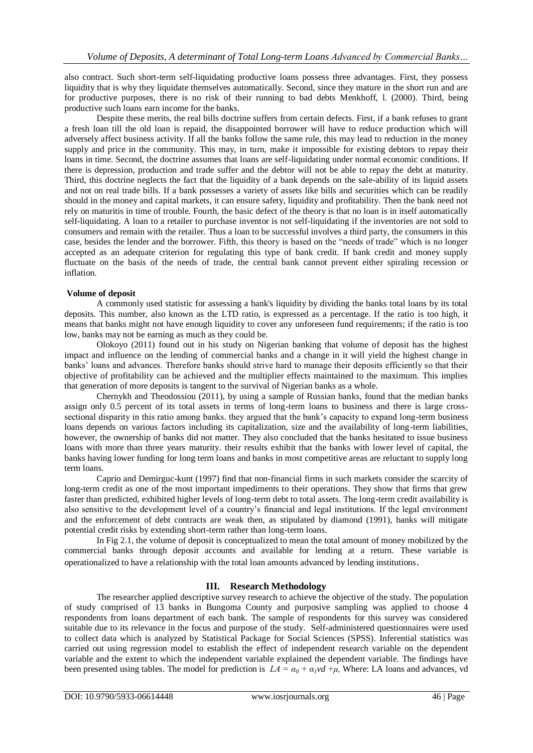also contract. Such short-term self-liquidating productive loans possess three advantages. First, they possess liquidity that is why they liquidate themselves automatically. Second, since they mature in the short run and are for productive purposes, there is no risk of their running to bad debts Menkhoff, l. (2000). Third, being productive such loans earn income for the banks.

Despite these merits, the real bills doctrine suffers from certain defects. First, if a bank refuses to grant a fresh loan till the old loan is repaid, the disappointed borrower will have to reduce production which will adversely affect business activity. If all the banks follow the same rule, this may lead to reduction in the money supply and price in the community. This may, in turn, make it impossible for existing debtors to repay their loans in time. Second, the doctrine assumes that loans are self-liquidating under normal economic conditions. If there is depression, production and trade suffer and the debtor will not be able to repay the debt at maturity. Third, this doctrine neglects the fact that the liquidity of a bank depends on the sale-ability of its liquid assets and not on real trade bills. If a bank possesses a variety of assets like bills and securities which can be readily should in the money and capital markets, it can ensure safety, liquidity and profitability. Then the bank need not rely on maturitis in time of trouble. Fourth, the basic defect of the theory is that no loan is in itself automatically self-liquidating. A loan to a retailer to purchase inventor is not self-liquidating if the inventories are not sold to consumers and remain with the retailer. Thus a loan to be successful involves a third party, the consumers in this case, besides the lender and the borrower. Fifth, this theory is based on the "needs of trade" which is no longer accepted as an adequate criterion for regulating this type of bank credit. If bank credit and money supply fluctuate on the basis of the needs of trade, the central bank cannot prevent either spiraling recession or inflation.

## **Volume of deposit**

A commonly used statistic for assessing a bank's liquidity by dividing the banks total loans by its total deposits. This number, also known as the LTD ratio, is expressed as a percentage. If the ratio is too high, it means that banks might not have enough liquidity to cover any unforeseen fund requirements; if the ratio is too low, banks may not be earning as much as they could be.

Olokoyo (2011) found out in his study on Nigerian banking that volume of deposit has the highest impact and influence on the lending of commercial banks and a change in it will yield the highest change in banks" loans and advances. Therefore banks should strive hard to manage their deposits efficiently so that their objective of profitability can be achieved and the multiplier effects maintained to the maximum. This implies that generation of more deposits is tangent to the survival of Nigerian banks as a whole.

Chernykh and Theodossiou (2011), by using a sample of Russian banks, found that the median banks assign only 0.5 percent of its total assets in terms of long-term loans to business and there is large crosssectional disparity in this ratio among banks. they argued that the bank"s capacity to expand long-term business loans depends on various factors including its capitalization, size and the availability of long-term liabilities, however, the ownership of banks did not matter. They also concluded that the banks hesitated to issue business loans with more than three years maturity. their results exhibit that the banks with lower level of capital, the banks having lower funding for long term loans and banks in most competitive areas are reluctant to supply long term loans.

Caprio and Demirguc-kunt (1997) find that non-financial firms in such markets consider the scarcity of long-term credit as one of the most important impediments to their operations. They show that firms that grew faster than predicted, exhibited higher levels of long-term debt to total assets. The long-term credit availability is also sensitive to the development level of a country"s financial and legal institutions. If the legal environment and the enforcement of debt contracts are weak then, as stipulated by diamond (1991), banks will mitigate potential credit risks by extending short-term rather than long-term loans.

In Fig 2.1, the volume of deposit is conceptualized to mean the total amount of money mobilized by the commercial banks through deposit accounts and available for lending at a return. These variable is operationalized to have a relationship with the total loan amounts advanced by lending institutions.

## **III. Research Methodology**

The researcher applied descriptive survey research to achieve the objective of the study. The population of study comprised of 13 banks in Bungoma County and purposive sampling was applied to choose 4 respondents from loans department of each bank. The sample of respondents for this survey was considered suitable due to its relevance in the focus and purpose of the study. Self-administered questionnaires were used to collect data which is analyzed by Statistical Package for Social Sciences (SPSS). Inferential statistics was carried out using regression model to establish the effect of independent research variable on the dependent variable and the extent to which the independent variable explained the dependent variable. The findings have been presented using tables. The model for prediction is  $LA = \alpha_0 + \alpha_1 v d + \mu$ , Where: LA loans and advances, vd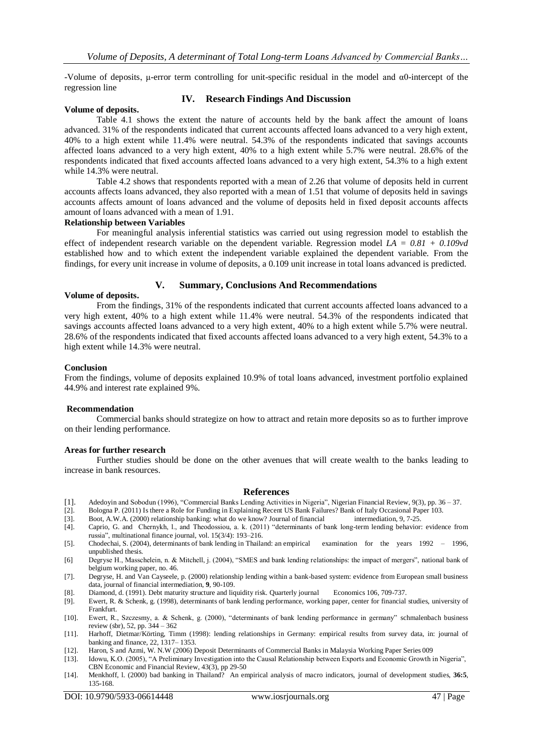-Volume of deposits, μ-error term controlling for unit-specific residual in the model and α0-intercept of the regression line

# **Volume of deposits.**

# **IV. Research Findings And Discussion**

Table 4.1 shows the extent the nature of accounts held by the bank affect the amount of loans advanced. 31% of the respondents indicated that current accounts affected loans advanced to a very high extent, 40% to a high extent while 11.4% were neutral. 54.3% of the respondents indicated that savings accounts affected loans advanced to a very high extent, 40% to a high extent while 5.7% were neutral. 28.6% of the respondents indicated that fixed accounts affected loans advanced to a very high extent, 54.3% to a high extent while 14.3% were neutral.

Table 4.2 shows that respondents reported with a mean of 2.26 that volume of deposits held in current accounts affects loans advanced, they also reported with a mean of 1.51 that volume of deposits held in savings accounts affects amount of loans advanced and the volume of deposits held in fixed deposit accounts affects amount of loans advanced with a mean of 1.91.

## **Relationship between Variables**

For meaningful analysis inferential statistics was carried out using regression model to establish the effect of independent research variable on the dependent variable. Regression model *LA = 0.81 + 0.109vd*  established how and to which extent the independent variable explained the dependent variable. From the findings, for every unit increase in volume of deposits, a 0.109 unit increase in total loans advanced is predicted.

# **V. Summary, Conclusions And Recommendations**

## **Volume of deposits.**

From the findings, 31% of the respondents indicated that current accounts affected loans advanced to a very high extent, 40% to a high extent while 11.4% were neutral. 54.3% of the respondents indicated that savings accounts affected loans advanced to a very high extent, 40% to a high extent while 5.7% were neutral. 28.6% of the respondents indicated that fixed accounts affected loans advanced to a very high extent, 54.3% to a high extent while 14.3% were neutral.

## **Conclusion**

From the findings, volume of deposits explained 10.9% of total loans advanced, investment portfolio explained 44.9% and interest rate explained 9%.

## **Recommendation**

Commercial banks should strategize on how to attract and retain more deposits so as to further improve on their lending performance.

## **Areas for further research**

Further studies should be done on the other avenues that will create wealth to the banks leading to increase in bank resources.

## **References**

- [1]. Adedoyin and Sobodun (1996), "Commercial Banks Lending Activities in Nigeria", Nigerian Financial Review, 9(3), pp. 36 37.
- [2]. Bologna P. (2011) Is there a Role for Funding in Explaining Recent US Bank Failures? Bank of Italy Occasional Paper 103.
- [3]. Boot, A.W.A. (2000) relationship banking: what do we know? Journal of financial intermediation, 9, 7-25.
- [4]. Caprio, G. and Chernykh, l., and Theodossiou, a. k. (2011) "determinants of bank long-term lending behavior: evidence from russia", multinational finance journal, vol. 15(3/4): 193–216.
- [5]. Chodechai, S. (2004), determinants of bank lending in Thailand: an empirical examination for the years 1992 1996, unpublished thesis.
- [6] Degryse H., Masschelein, n. & Mitchell, j. (2004), "SMES and bank lending relationships: the impact of mergers", national bank of belgium working paper, no. 46.
- [7]. Degryse, H. and Van Cayseele, p. (2000) relationship lending within a bank-based system: evidence from European small business data, journal of financial intermediation, **9**, 90-109.
- [8]. Diamond, d. (1991). Debt maturity structure and liquidity risk. Quarterly journal Economics 106, 709-737.
- [9]. Ewert, R. & Schenk, g. (1998), determinants of bank lending performance, working paper, center for financial studies, university of Frankfurt.
- [10]. Ewert, R., Szczesmy, a. & Schenk, g. (2000), "determinants of bank lending performance in germany" schmalenbach business review (sbr), 52, pp. 344 – 362
- [11]. Harhoff, Dietmar/Körting, Timm (1998): lending relationships in Germany: empirical results from survey data, in: journal of banking and finance, 22, 1317– 1353.
- [12]. Haron, S and Azmi, W. N.W (2006) Deposit Determinants of Commercial Banks in Malaysia Working Paper Series 009
- [13]. Idowu, K.O. (2005), "A Preliminary Investigation into the Causal Relationship between Exports and Economic Growth in Nigeria", CBN Economic and Financial Review, 43(3), pp 29-50
- [14]. Menkhoff, l. (2000) bad banking in Thailand? An empirical analysis of macro indicators, journal of development studies, **36:5**, 135-168.